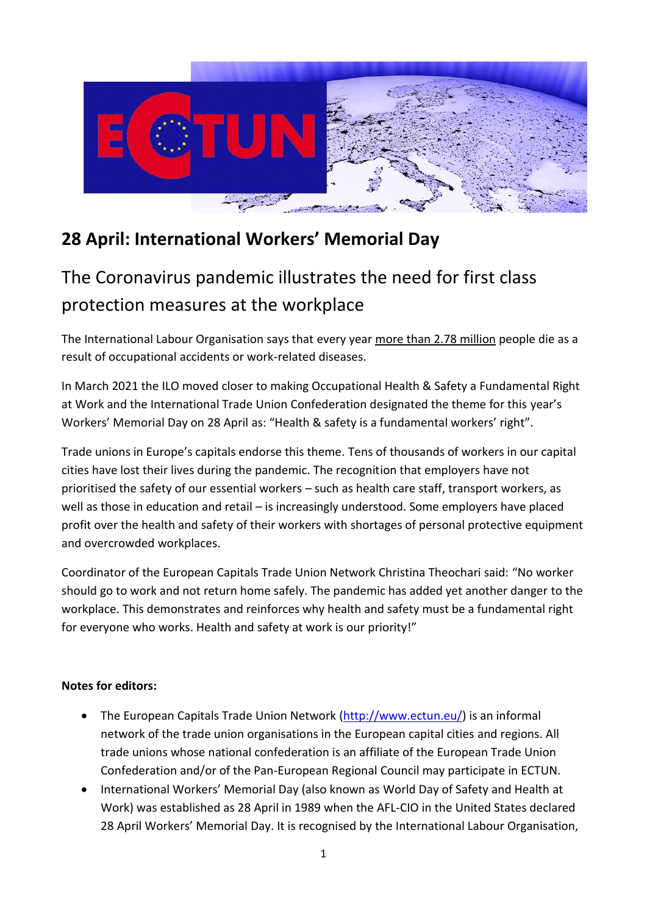

## **28 April: International Workers' Memorial Day**

## The Coronavirus pandemic illustrates the need for first class protection measures at the workplace

The International Labour Organisation says that every year more than 2.78 million people die as a result of occupational accidents or work-related diseases.

In March 2021 the ILO moved closer to making Occupational Health & Safety a Fundamental Right at Work and the International Trade Union Confederation designated the theme for this year's Workers' Memorial Day on 28 April as: "Health & safety is a fundamental workers' right".

Trade unions in Europe's capitals endorse this theme. Tens of thousands of workers in our capital cities have lost their lives during the pandemic. The recognition that employers have not prioritised the safety of our essential workers – such as health care staff, transport workers, as well as those in education and retail – is increasingly understood. Some employers have placed profit over the health and safety of their workers with shortages of personal protective equipment and overcrowded workplaces.

Coordinator of the European Capitals Trade Union Network Christina Theochari said: "No worker should go to work and not return home safely. The pandemic has added yet another danger to the workplace. This demonstrates and reinforces why health and safety must be a fundamental right for everyone who works. Health and safety at work is our priority!"

## **Notes for editors:**

- The European Capitals Trade Union Network [\(http://www.ectun.eu/\)](http://www.ectun.eu/) is an informal network of the trade union organisations in the European capital cities and regions. All trade unions whose national confederation is an affiliate of the European Trade Union Confederation and/or of the Pan-European Regional Council may participate in ECTUN.
- International Workers' Memorial Day (also known as World Day of Safety and Health at Work) was established as 28 April in 1989 when the AFL-CIO in the United States declared 28 April Workers' Memorial Day. It is recognised by the International Labour Organisation,